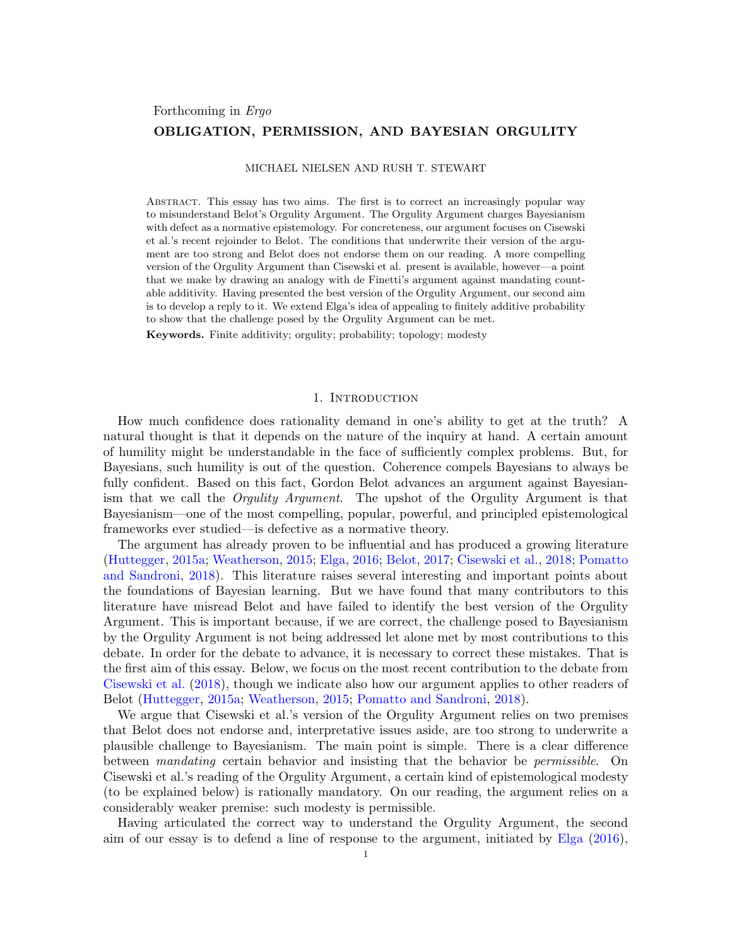# Forthcoming in Ergo OBLIGATION, PERMISSION, AND BAYESIAN ORGULITY

### MICHAEL NIELSEN AND RUSH T. STEWART

Abstract. This essay has two aims. The first is to correct an increasingly popular way to misunderstand Belot's Orgulity Argument. The Orgulity Argument charges Bayesianism with defect as a normative epistemology. For concreteness, our argument focuses on Cisewski et al.'s recent rejoinder to Belot. The conditions that underwrite their version of the argument are too strong and Belot does not endorse them on our reading. A more compelling version of the Orgulity Argument than Cisewski et al. present is available, however—a point that we make by drawing an analogy with de Finetti's argument against mandating countable additivity. Having presented the best version of the Orgulity Argument, our second aim is to develop a reply to it. We extend Elga's idea of appealing to finitely additive probability to show that the challenge posed by the Orgulity Argument can be met.

Keywords. Finite additivity; orgulity; probability; topology; modesty

### 1. Introduction

How much confidence does rationality demand in one's ability to get at the truth? A natural thought is that it depends on the nature of the inquiry at hand. A certain amount of humility might be understandable in the face of sufficiently complex problems. But, for Bayesians, such humility is out of the question. Coherence compels Bayesians to always be fully confident. Based on this fact, Gordon Belot advances an argument against Bayesianism that we call the Orgulity Argument. The upshot of the Orgulity Argument is that Bayesianism—one of the most compelling, popular, powerful, and principled epistemological frameworks ever studied—is defective as a normative theory.

The argument has already proven to be influential and has produced a growing literature [\(Huttegger,](#page-10-0) [2015a;](#page-10-0) [Weatherson,](#page-10-1) [2015;](#page-10-1) [Elga,](#page-10-2) [2016;](#page-10-2) [Belot,](#page-10-3) [2017;](#page-10-3) [Cisewski et al.,](#page-10-4) [2018;](#page-10-4) [Pomatto](#page-10-5) [and Sandroni,](#page-10-5) [2018\)](#page-10-5). This literature raises several interesting and important points about the foundations of Bayesian learning. But we have found that many contributors to this literature have misread Belot and have failed to identify the best version of the Orgulity Argument. This is important because, if we are correct, the challenge posed to Bayesianism by the Orgulity Argument is not being addressed let alone met by most contributions to this debate. In order for the debate to advance, it is necessary to correct these mistakes. That is the first aim of this essay. Below, we focus on the most recent contribution to the debate from [Cisewski et al.](#page-10-4) [\(2018\)](#page-10-4), though we indicate also how our argument applies to other readers of Belot [\(Huttegger,](#page-10-0) [2015a;](#page-10-0) [Weatherson,](#page-10-1) [2015;](#page-10-1) [Pomatto and Sandroni,](#page-10-5) [2018\)](#page-10-5).

We argue that Cisewski et al.'s version of the Orgulity Argument relies on two premises that Belot does not endorse and, interpretative issues aside, are too strong to underwrite a plausible challenge to Bayesianism. The main point is simple. There is a clear difference between mandating certain behavior and insisting that the behavior be permissible. On Cisewski et al.'s reading of the Orgulity Argument, a certain kind of epistemological modesty (to be explained below) is rationally mandatory. On our reading, the argument relies on a considerably weaker premise: such modesty is permissible.

Having articulated the correct way to understand the Orgulity Argument, the second aim of our essay is to defend a line of response to the argument, initiated by [Elga](#page-10-2) [\(2016\)](#page-10-2),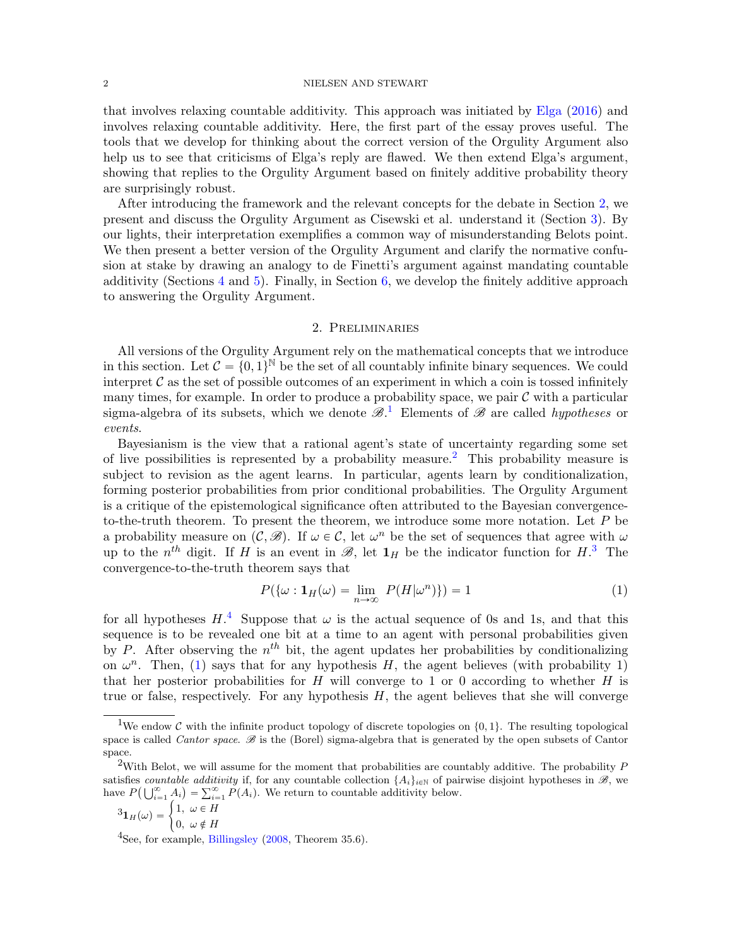### $2\,$   $\,$   $\,$  NIELSEN AND STEWART

that involves relaxing countable additivity. This approach was initiated by [Elga](#page-10-2) [\(2016\)](#page-10-2) and involves relaxing countable additivity. Here, the first part of the essay proves useful. The tools that we develop for thinking about the correct version of the Orgulity Argument also help us to see that criticisms of Elga's reply are flawed. We then extend Elga's argument, showing that replies to the Orgulity Argument based on finitely additive probability theory are surprisingly robust.

After introducing the framework and the relevant concepts for the debate in Section [2,](#page-1-0) we present and discuss the Orgulity Argument as Cisewski et al. understand it (Section [3\)](#page-2-0). By our lights, their interpretation exemplifies a common way of misunderstanding Belots point. We then present a better version of the Orgulity Argument and clarify the normative confusion at stake by drawing an analogy to de Finetti's argument against mandating countable additivity (Sections [4](#page-4-0) and [5\)](#page-5-0). Finally, in Section [6,](#page-6-0) we develop the finitely additive approach to answering the Orgulity Argument.

# 2. Preliminaries

<span id="page-1-0"></span>All versions of the Orgulity Argument rely on the mathematical concepts that we introduce in this section. Let  $\mathcal{C} = \{0, 1\}^{\mathbb{N}}$  be the set of all countably infinite binary sequences. We could interpret  $\mathcal C$  as the set of possible outcomes of an experiment in which a coin is tossed infinitely many times, for example. In order to produce a probability space, we pair  $\mathcal C$  with a particular sigma-algebra of its subsets, which we denote  $\mathscr{B}^1$  $\mathscr{B}^1$ . Elements of  $\mathscr{B}$  are called *hypotheses* or events.

Bayesianism is the view that a rational agent's state of uncertainty regarding some set of live possibilities is represented by a probability measure.<sup>[2](#page-1-2)</sup> This probability measure is subject to revision as the agent learns. In particular, agents learn by conditionalization, forming posterior probabilities from prior conditional probabilities. The Orgulity Argument is a critique of the epistemological significance often attributed to the Bayesian convergenceto-the-truth theorem. To present the theorem, we introduce some more notation. Let P be a probability measure on  $(C, \mathscr{B})$ . If  $\omega \in C$ , let  $\omega^n$  be the set of sequences that agree with  $\omega$ up to the  $n^{th}$  digit. If H is an event in  $\mathscr{B}$ , let  $\mathbf{1}_H$  be the indicator function for  $H$ .<sup>[3](#page-1-3)</sup> The convergence-to-the-truth theorem says that

<span id="page-1-5"></span>
$$
P(\{\omega : \mathbf{1}_H(\omega) = \lim_{n \to \infty} P(H|\omega^n)\}) = 1
$$
\n(1)

for all hypotheses  $H^4$  $H^4$ . Suppose that  $\omega$  is the actual sequence of 0s and 1s, and that this sequence is to be revealed one bit at a time to an agent with personal probabilities given by P. After observing the  $n^{th}$  bit, the agent updates her probabilities by conditionalizing on  $\omega^n$ . Then, [\(1\)](#page-1-5) says that for any hypothesis H, the agent believes (with probability 1) that her posterior probabilities for  $H$  will converge to 1 or 0 according to whether  $H$  is true or false, respectively. For any hypothesis  $H$ , the agent believes that she will converge

<span id="page-1-3"></span>
$$
{}^{3}\mathbf{1}_{H}(\omega) = \begin{cases} 1, & \omega \in H \\ 0, & \omega \notin H \end{cases}
$$

<span id="page-1-4"></span><sup>4</sup>See, for example, [Billingsley](#page-10-6) [\(2008,](#page-10-6) Theorem 35.6).

<span id="page-1-1"></span><sup>&</sup>lt;sup>1</sup>We endow C with the infinite product topology of discrete topologies on  $\{0, 1\}$ . The resulting topological space is called *Cantor space.*  $\mathscr B$  is the (Borel) sigma-algebra that is generated by the open subsets of Cantor space.

<span id="page-1-2"></span><sup>&</sup>lt;sup>2</sup>With Belot, we will assume for the moment that probabilities are countably additive. The probability  $P$ satisfies countable additivity if, for any countable collection  $\{A_i\}_{i\in\mathbb{N}}$  of pairwise disjoint hypotheses in  $\mathscr{B}$ , we<br>have  $P(1|\mathscr{P}|A_i) = \sum_{i=1}^{\infty} P(A_i)$ . We return to countable additivity below. have  $P(\bigcup_{i=1}^{\infty} A_i) = \sum_{i=1}^{\infty} P(A_i)$ . We return to countable additivity below.<br>  ${}^{3}1_H(\omega) = \begin{cases} 1, & \omega \in H \\ 0, & \omega \in H \end{cases}$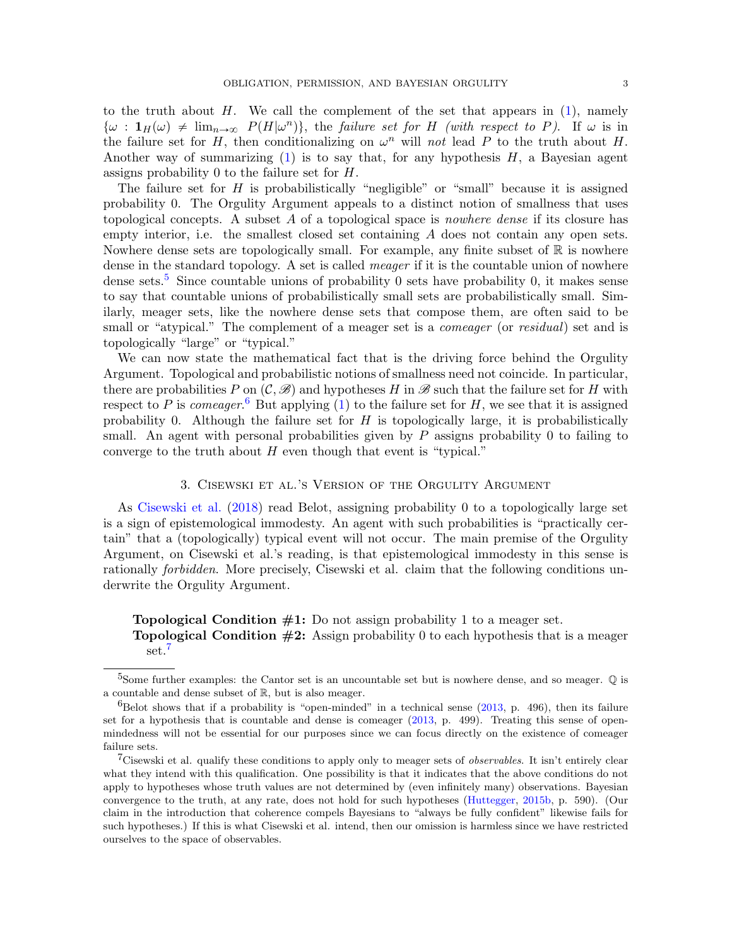to the truth about  $H$ . We call the complement of the set that appears in  $(1)$ , namely  $\{\omega : \mathbf{1}_H(\omega) \neq \lim_{n\to\infty} P(H|\omega^n)\},\$  the failure set for H (with respect to P). If  $\omega$  is in the failure set for H, then conditionalizing on  $\omega^n$  will not lead P to the truth about H. Another way of summarizing  $(1)$  is to say that, for any hypothesis  $H$ , a Bayesian agent assigns probability 0 to the failure set for H.

The failure set for  $H$  is probabilistically "negligible" or "small" because it is assigned probability 0. The Orgulity Argument appeals to a distinct notion of smallness that uses topological concepts. A subset A of a topological space is nowhere dense if its closure has empty interior, i.e. the smallest closed set containing A does not contain any open sets. Nowhere dense sets are topologically small. For example, any finite subset of  $\mathbb R$  is nowhere dense in the standard topology. A set is called *meager* if it is the countable union of nowhere dense sets.<sup>[5](#page-2-1)</sup> Since countable unions of probability 0 sets have probability 0, it makes sense to say that countable unions of probabilistically small sets are probabilistically small. Similarly, meager sets, like the nowhere dense sets that compose them, are often said to be small or "atypical." The complement of a meager set is a *comeager* (or *residual*) set and is topologically "large" or "typical."

We can now state the mathematical fact that is the driving force behind the Orgulity Argument. Topological and probabilistic notions of smallness need not coincide. In particular, there are probabilities P on  $(C, \mathscr{B})$  and hypotheses H in  $\mathscr{B}$  such that the failure set for H with respect to P is comeager.<sup>[6](#page-2-2)</sup> But applying [\(1\)](#page-1-5) to the failure set for H, we see that it is assigned probability 0. Although the failure set for  $H$  is topologically large, it is probabilistically small. An agent with personal probabilities given by  $P$  assigns probability 0 to failing to converge to the truth about  $H$  even though that event is "typical."

# 3. Cisewski et al.'s Version of the Orgulity Argument

<span id="page-2-0"></span>As [Cisewski et al.](#page-10-4) [\(2018\)](#page-10-4) read Belot, assigning probability 0 to a topologically large set is a sign of epistemological immodesty. An agent with such probabilities is "practically certain" that a (topologically) typical event will not occur. The main premise of the Orgulity Argument, on Cisewski et al.'s reading, is that epistemological immodesty in this sense is rationally forbidden. More precisely, Cisewski et al. claim that the following conditions underwrite the Orgulity Argument.

**Topological Condition**  $\#1$ **:** Do not assign probability 1 to a meager set. **Topological Condition**  $\#2$ **:** Assign probability 0 to each hypothesis that is a meager set.<sup>[7](#page-2-3)</sup>

<span id="page-2-1"></span><sup>&</sup>lt;sup>5</sup>Some further examples: the Cantor set is an uncountable set but is nowhere dense, and so meager.  $\mathbb Q$  is a countable and dense subset of R, but is also meager.

<span id="page-2-2"></span> $6B$ elot shows that if a probability is "open-minded" in a technical sense [\(2013,](#page-10-7) p. 496), then its failure set for a hypothesis that is countable and dense is comeager [\(2013,](#page-10-7) p. 499). Treating this sense of openmindedness will not be essential for our purposes since we can focus directly on the existence of comeager failure sets.

<span id="page-2-3"></span><sup>&</sup>lt;sup>7</sup>Cisewski et al. qualify these conditions to apply only to meager sets of *observables*. It isn't entirely clear what they intend with this qualification. One possibility is that it indicates that the above conditions do not apply to hypotheses whose truth values are not determined by (even infinitely many) observations. Bayesian convergence to the truth, at any rate, does not hold for such hypotheses [\(Huttegger,](#page-10-8) [2015b,](#page-10-8) p. 590). (Our claim in the introduction that coherence compels Bayesians to "always be fully confident" likewise fails for such hypotheses.) If this is what Cisewski et al. intend, then our omission is harmless since we have restricted ourselves to the space of observables.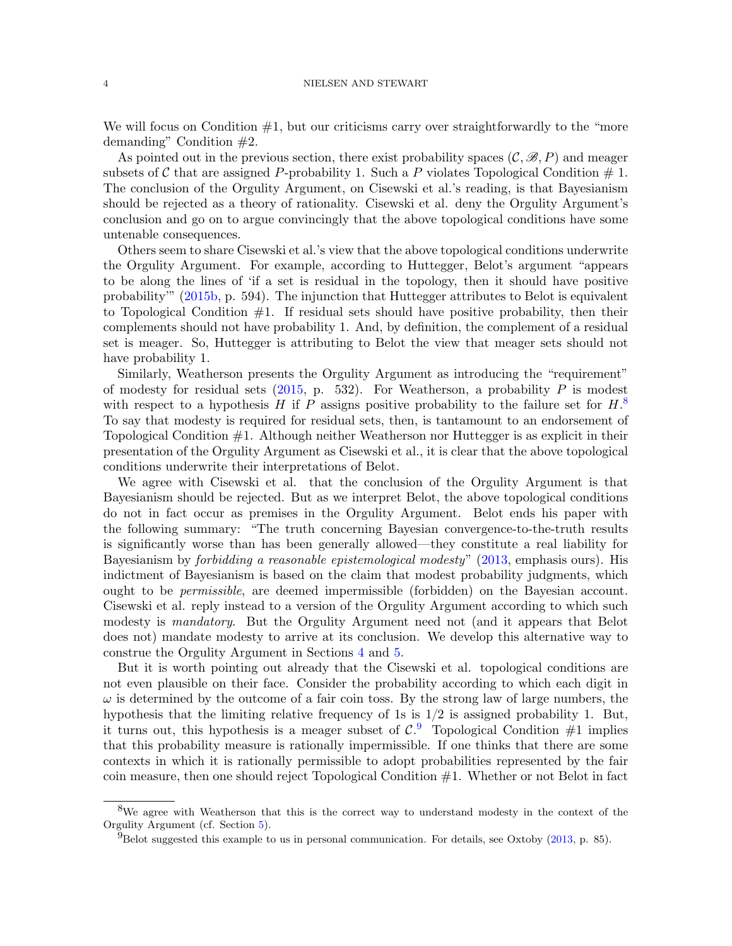We will focus on Condition  $#1$ , but our criticisms carry over straightforwardly to the "more" demanding" Condition #2.

As pointed out in the previous section, there exist probability spaces  $(C, \mathscr{B}, P)$  and meager subsets of C that are assigned P-probability 1. Such a P violates Topological Condition  $\#$  1. The conclusion of the Orgulity Argument, on Cisewski et al.'s reading, is that Bayesianism should be rejected as a theory of rationality. Cisewski et al. deny the Orgulity Argument's conclusion and go on to argue convincingly that the above topological conditions have some untenable consequences.

Others seem to share Cisewski et al.'s view that the above topological conditions underwrite the Orgulity Argument. For example, according to Huttegger, Belot's argument "appears to be along the lines of 'if a set is residual in the topology, then it should have positive probability'" [\(2015b,](#page-10-8) p. 594). The injunction that Huttegger attributes to Belot is equivalent to Topological Condition  $#1$ . If residual sets should have positive probability, then their complements should not have probability 1. And, by definition, the complement of a residual set is meager. So, Huttegger is attributing to Belot the view that meager sets should not have probability 1.

Similarly, Weatherson presents the Orgulity Argument as introducing the "requirement" of modesty for residual sets  $(2015, p. 532)$  $(2015, p. 532)$ . For Weatherson, a probability P is modest with respect to a hypothesis H if P assigns positive probability to the failure set for  $H$ .<sup>[8](#page-3-0)</sup> To say that modesty is required for residual sets, then, is tantamount to an endorsement of Topological Condition #1. Although neither Weatherson nor Huttegger is as explicit in their presentation of the Orgulity Argument as Cisewski et al., it is clear that the above topological conditions underwrite their interpretations of Belot.

We agree with Cisewski et al. that the conclusion of the Orgulity Argument is that Bayesianism should be rejected. But as we interpret Belot, the above topological conditions do not in fact occur as premises in the Orgulity Argument. Belot ends his paper with the following summary: "The truth concerning Bayesian convergence-to-the-truth results is significantly worse than has been generally allowed—they constitute a real liability for Bayesianism by forbidding a reasonable epistemological modesty" [\(2013,](#page-10-7) emphasis ours). His indictment of Bayesianism is based on the claim that modest probability judgments, which ought to be permissible, are deemed impermissible (forbidden) on the Bayesian account. Cisewski et al. reply instead to a version of the Orgulity Argument according to which such modesty is *mandatory*. But the Orgulity Argument need not (and it appears that Belot does not) mandate modesty to arrive at its conclusion. We develop this alternative way to construe the Orgulity Argument in Sections [4](#page-4-0) and [5.](#page-5-0)

But it is worth pointing out already that the Cisewski et al. topological conditions are not even plausible on their face. Consider the probability according to which each digit in  $\omega$  is determined by the outcome of a fair coin toss. By the strong law of large numbers, the hypothesis that the limiting relative frequency of 1s is  $1/2$  is assigned probability 1. But, it turns out, this hypothesis is a meager subset of  $\mathcal{C}^9$  $\mathcal{C}^9$ . Topological Condition #1 implies that this probability measure is rationally impermissible. If one thinks that there are some contexts in which it is rationally permissible to adopt probabilities represented by the fair coin measure, then one should reject Topological Condition #1. Whether or not Belot in fact

<span id="page-3-0"></span><sup>&</sup>lt;sup>8</sup>We agree with Weatherson that this is the correct way to understand modesty in the context of the Orgulity Argument (cf. Section [5\)](#page-5-0).

<span id="page-3-1"></span> $^{9}$ Belot suggested this example to us in personal communication. For details, see Oxtoby [\(2013,](#page-10-9) p. 85).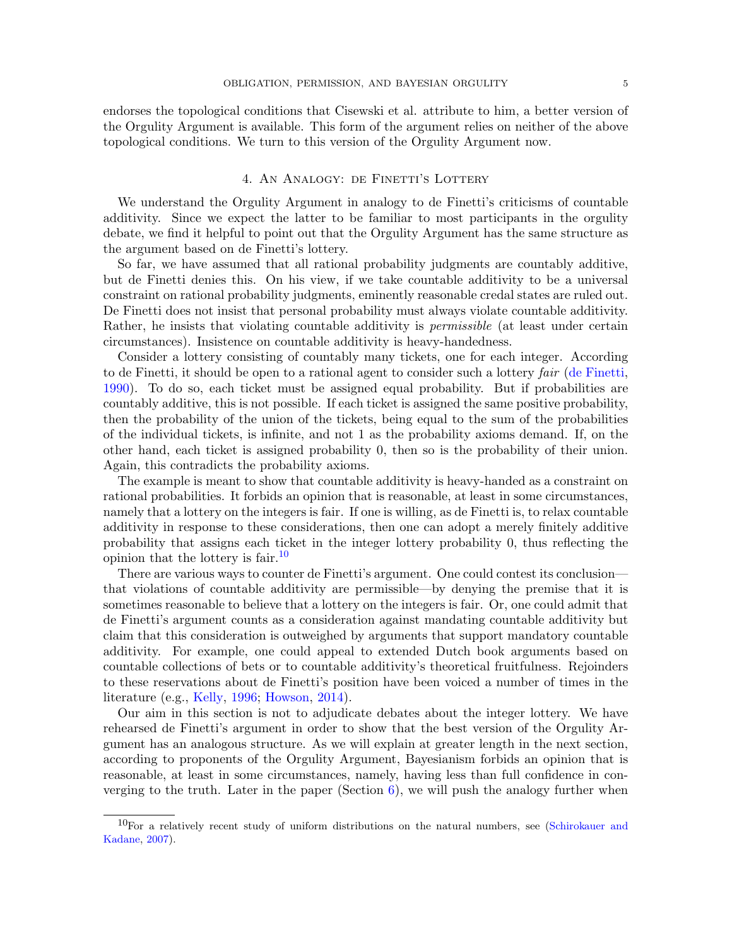endorses the topological conditions that Cisewski et al. attribute to him, a better version of the Orgulity Argument is available. This form of the argument relies on neither of the above topological conditions. We turn to this version of the Orgulity Argument now.

### 4. AN ANALOGY: DE FINETTI'S LOTTERY

<span id="page-4-0"></span>We understand the Orgulity Argument in analogy to de Finetti's criticisms of countable additivity. Since we expect the latter to be familiar to most participants in the orgulity debate, we find it helpful to point out that the Orgulity Argument has the same structure as the argument based on de Finetti's lottery.

So far, we have assumed that all rational probability judgments are countably additive, but de Finetti denies this. On his view, if we take countable additivity to be a universal constraint on rational probability judgments, eminently reasonable credal states are ruled out. De Finetti does not insist that personal probability must always violate countable additivity. Rather, he insists that violating countable additivity is *permissible* (at least under certain circumstances). Insistence on countable additivity is heavy-handedness.

Consider a lottery consisting of countably many tickets, one for each integer. According to de Finetti, it should be open to a rational agent to consider such a lottery fair [\(de Finetti,](#page-10-10) [1990\)](#page-10-10). To do so, each ticket must be assigned equal probability. But if probabilities are countably additive, this is not possible. If each ticket is assigned the same positive probability, then the probability of the union of the tickets, being equal to the sum of the probabilities of the individual tickets, is infinite, and not 1 as the probability axioms demand. If, on the other hand, each ticket is assigned probability 0, then so is the probability of their union. Again, this contradicts the probability axioms.

The example is meant to show that countable additivity is heavy-handed as a constraint on rational probabilities. It forbids an opinion that is reasonable, at least in some circumstances, namely that a lottery on the integers is fair. If one is willing, as de Finetti is, to relax countable additivity in response to these considerations, then one can adopt a merely finitely additive probability that assigns each ticket in the integer lottery probability 0, thus reflecting the opinion that the lottery is fair.  $\frac{10}{10}$  $\frac{10}{10}$  $\frac{10}{10}$ 

There are various ways to counter de Finetti's argument. One could contest its conclusion that violations of countable additivity are permissible—by denying the premise that it is sometimes reasonable to believe that a lottery on the integers is fair. Or, one could admit that de Finetti's argument counts as a consideration against mandating countable additivity but claim that this consideration is outweighed by arguments that support mandatory countable additivity. For example, one could appeal to extended Dutch book arguments based on countable collections of bets or to countable additivity's theoretical fruitfulness. Rejoinders to these reservations about de Finetti's position have been voiced a number of times in the literature (e.g., [Kelly,](#page-10-11) [1996;](#page-10-11) [Howson,](#page-10-12) [2014\)](#page-10-12).

Our aim in this section is not to adjudicate debates about the integer lottery. We have rehearsed de Finetti's argument in order to show that the best version of the Orgulity Argument has an analogous structure. As we will explain at greater length in the next section, according to proponents of the Orgulity Argument, Bayesianism forbids an opinion that is reasonable, at least in some circumstances, namely, having less than full confidence in converging to the truth. Later in the paper (Section  $6$ ), we will push the analogy further when

<span id="page-4-1"></span> $10$ For a relatively recent study of uniform distributions on the natural numbers, see [\(Schirokauer and](#page-10-13) [Kadane,](#page-10-13) [2007\)](#page-10-13).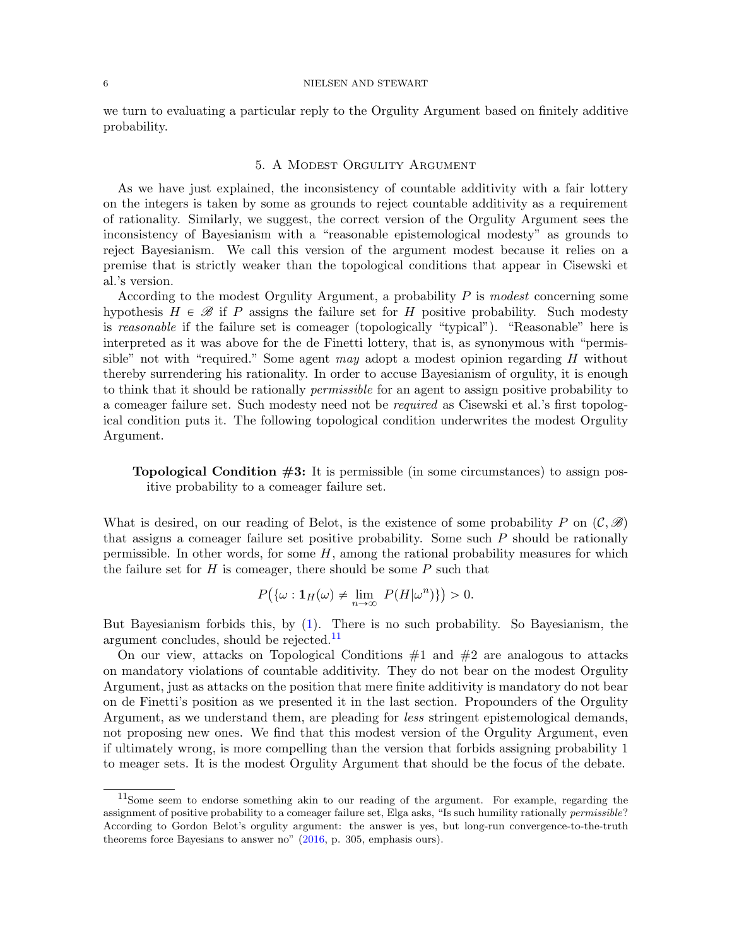#### 6 NIELSEN AND STEWART

we turn to evaluating a particular reply to the Orgulity Argument based on finitely additive probability.

# 5. A Modest Orgulity Argument

<span id="page-5-0"></span>As we have just explained, the inconsistency of countable additivity with a fair lottery on the integers is taken by some as grounds to reject countable additivity as a requirement of rationality. Similarly, we suggest, the correct version of the Orgulity Argument sees the inconsistency of Bayesianism with a "reasonable epistemological modesty" as grounds to reject Bayesianism. We call this version of the argument modest because it relies on a premise that is strictly weaker than the topological conditions that appear in Cisewski et al.'s version.

According to the modest Orgulity Argument, a probability  $P$  is modest concerning some hypothesis  $H \in \mathcal{B}$  if P assigns the failure set for H positive probability. Such modesty is reasonable if the failure set is comeager (topologically "typical"). "Reasonable" here is interpreted as it was above for the de Finetti lottery, that is, as synonymous with "permissible" not with "required." Some agent may adopt a modest opinion regarding  $H$  without thereby surrendering his rationality. In order to accuse Bayesianism of orgulity, it is enough to think that it should be rationally permissible for an agent to assign positive probability to a comeager failure set. Such modesty need not be required as Cisewski et al.'s first topological condition puts it. The following topological condition underwrites the modest Orgulity Argument.

**Topological Condition**  $#3$ **:** It is permissible (in some circumstances) to assign positive probability to a comeager failure set.

What is desired, on our reading of Belot, is the existence of some probability P on  $(C, \mathscr{B})$ that assigns a comeager failure set positive probability. Some such P should be rationally permissible. In other words, for some  $H$ , among the rational probability measures for which the failure set for  $H$  is comeager, there should be some  $P$  such that

$$
P(\{\omega : \mathbf{1}_H(\omega) \neq \lim_{n \to \infty} P(H|\omega^n)\}) > 0.
$$

But Bayesianism forbids this, by [\(1\)](#page-1-5). There is no such probability. So Bayesianism, the argument concludes, should be rejected.<sup>[11](#page-5-1)</sup>

On our view, attacks on Topological Conditions  $#1$  and  $#2$  are analogous to attacks on mandatory violations of countable additivity. They do not bear on the modest Orgulity Argument, just as attacks on the position that mere finite additivity is mandatory do not bear on de Finetti's position as we presented it in the last section. Propounders of the Orgulity Argument, as we understand them, are pleading for less stringent epistemological demands, not proposing new ones. We find that this modest version of the Orgulity Argument, even if ultimately wrong, is more compelling than the version that forbids assigning probability 1 to meager sets. It is the modest Orgulity Argument that should be the focus of the debate.

<span id="page-5-1"></span><sup>11</sup>Some seem to endorse something akin to our reading of the argument. For example, regarding the assignment of positive probability to a comeager failure set, Elga asks, "Is such humility rationally permissible? According to Gordon Belot's orgulity argument: the answer is yes, but long-run convergence-to-the-truth theorems force Bayesians to answer no" [\(2016,](#page-10-2) p. 305, emphasis ours).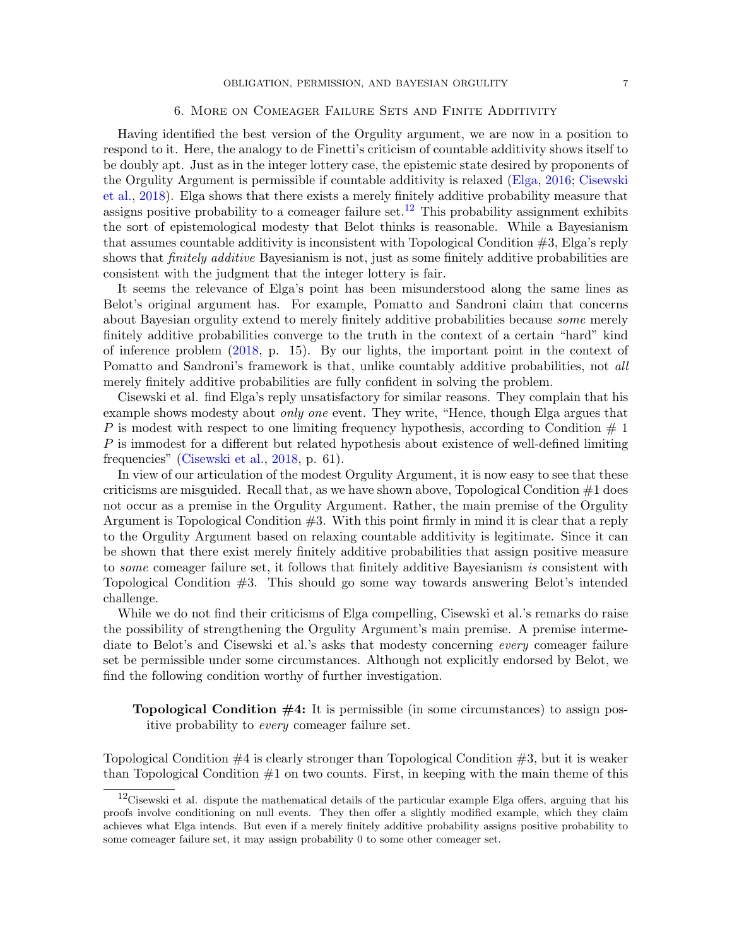### 6. More on Comeager Failure Sets and Finite Additivity

<span id="page-6-0"></span>Having identified the best version of the Orgulity argument, we are now in a position to respond to it. Here, the analogy to de Finetti's criticism of countable additivity shows itself to be doubly apt. Just as in the integer lottery case, the epistemic state desired by proponents of the Orgulity Argument is permissible if countable additivity is relaxed [\(Elga,](#page-10-2) [2016;](#page-10-2) [Cisewski](#page-10-4) [et al.,](#page-10-4) [2018\)](#page-10-4). Elga shows that there exists a merely finitely additive probability measure that assigns positive probability to a comeager failure set.<sup>[12](#page-6-1)</sup> This probability assignment exhibits the sort of epistemological modesty that Belot thinks is reasonable. While a Bayesianism that assumes countable additivity is inconsistent with Topological Condition  $\#3$ , Elga's reply shows that finitely additive Bayesianism is not, just as some finitely additive probabilities are consistent with the judgment that the integer lottery is fair.

It seems the relevance of Elga's point has been misunderstood along the same lines as Belot's original argument has. For example, Pomatto and Sandroni claim that concerns about Bayesian orgulity extend to merely finitely additive probabilities because some merely finitely additive probabilities converge to the truth in the context of a certain "hard" kind of inference problem [\(2018,](#page-10-5) p. 15). By our lights, the important point in the context of Pomatto and Sandroni's framework is that, unlike countably additive probabilities, not all merely finitely additive probabilities are fully confident in solving the problem.

Cisewski et al. find Elga's reply unsatisfactory for similar reasons. They complain that his example shows modesty about *only one* event. They write, "Hence, though Elga argues that P is modest with respect to one limiting frequency hypothesis, according to Condition  $# 1$ P is immodest for a different but related hypothesis about existence of well-defined limiting frequencies" [\(Cisewski et al.,](#page-10-4) [2018,](#page-10-4) p. 61).

In view of our articulation of the modest Orgulity Argument, it is now easy to see that these criticisms are misguided. Recall that, as we have shown above, Topological Condition  $#1$  does not occur as a premise in the Orgulity Argument. Rather, the main premise of the Orgulity Argument is Topological Condition #3. With this point firmly in mind it is clear that a reply to the Orgulity Argument based on relaxing countable additivity is legitimate. Since it can be shown that there exist merely finitely additive probabilities that assign positive measure to some comeager failure set, it follows that finitely additive Bayesianism is consistent with Topological Condition #3. This should go some way towards answering Belot's intended challenge.

While we do not find their criticisms of Elga compelling, Cisewski et al.'s remarks do raise the possibility of strengthening the Orgulity Argument's main premise. A premise intermediate to Belot's and Cisewski et al.'s asks that modesty concerning every comeager failure set be permissible under some circumstances. Although not explicitly endorsed by Belot, we find the following condition worthy of further investigation.

**Topological Condition**  $#4$ **:** It is permissible (in some circumstances) to assign positive probability to every comeager failure set.

Topological Condition  $#4$  is clearly stronger than Topological Condition  $#3$ , but it is weaker than Topological Condition  $#1$  on two counts. First, in keeping with the main theme of this

<span id="page-6-1"></span><sup>&</sup>lt;sup>12</sup>Cisewski et al. dispute the mathematical details of the particular example Elga offers, arguing that his proofs involve conditioning on null events. They then offer a slightly modified example, which they claim achieves what Elga intends. But even if a merely finitely additive probability assigns positive probability to some comeager failure set, it may assign probability 0 to some other comeager set.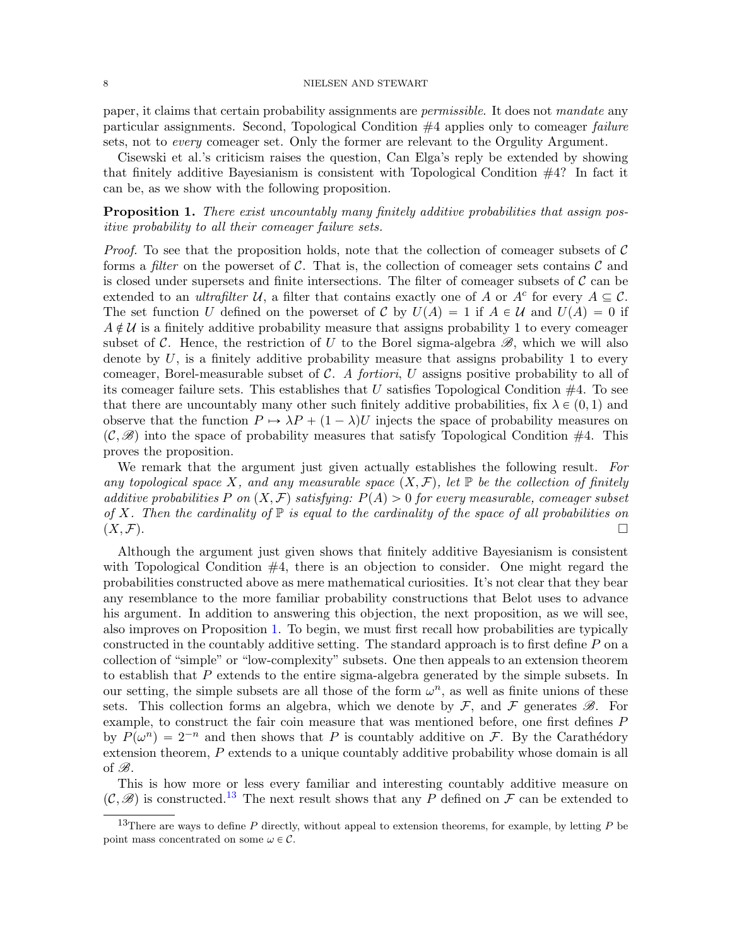#### 8 NIELSEN AND STEWART

paper, it claims that certain probability assignments are permissible. It does not mandate any particular assignments. Second, Topological Condition #4 applies only to comeager failure sets, not to *every* comeager set. Only the former are relevant to the Orgulity Argument.

Cisewski et al.'s criticism raises the question, Can Elga's reply be extended by showing that finitely additive Bayesianism is consistent with Topological Condition #4? In fact it can be, as we show with the following proposition.

<span id="page-7-0"></span>Proposition 1. There exist uncountably many finitely additive probabilities that assign positive probability to all their comeager failure sets.

*Proof.* To see that the proposition holds, note that the collection of comeager subsets of  $\mathcal{C}$ forms a *filter* on the powerset of  $\mathcal{C}$ . That is, the collection of comeager sets contains  $\mathcal{C}$  and is closed under supersets and finite intersections. The filter of comeager subsets of  $\mathcal C$  can be extended to an *ultrafilter* U, a filter that contains exactly one of A or  $A^c$  for every  $A \subseteq C$ . The set function U defined on the powerset of C by  $U(A) = 1$  if  $A \in U$  and  $U(A) = 0$  if  $A \notin \mathcal{U}$  is a finitely additive probability measure that assigns probability 1 to every comeager subset of C. Hence, the restriction of U to the Borel sigma-algebra  $\mathscr{B}$ , which we will also denote by  $U$ , is a finitely additive probability measure that assigns probability 1 to every comeager, Borel-measurable subset of  $C$ . A fortiori, U assigns positive probability to all of its comeager failure sets. This establishes that  $U$  satisfies Topological Condition  $#4$ . To see that there are uncountably many other such finitely additive probabilities, fix  $\lambda \in (0, 1)$  and observe that the function  $P \rightarrow \lambda P + (1 - \lambda)U$  injects the space of probability measures on  $(\mathcal{C}, \mathscr{B})$  into the space of probability measures that satisfy Topological Condition #4. This proves the proposition.

We remark that the argument just given actually establishes the following result. For any topological space X, and any measurable space  $(X, \mathcal{F})$ , let P be the collection of finitely additive probabilities P on  $(X, \mathcal{F})$  satisfying:  $P(A) > 0$  for every measurable, comeager subset of X. Then the cardinality of  $\mathbb P$  is equal to the cardinality of the space of all probabilities on  $(X, \mathcal{F})$ .

Although the argument just given shows that finitely additive Bayesianism is consistent with Topological Condition  $#4$ , there is an objection to consider. One might regard the probabilities constructed above as mere mathematical curiosities. It's not clear that they bear any resemblance to the more familiar probability constructions that Belot uses to advance his argument. In addition to answering this objection, the next proposition, as we will see, also improves on Proposition [1.](#page-7-0) To begin, we must first recall how probabilities are typically constructed in the countably additive setting. The standard approach is to first define P on a collection of "simple" or "low-complexity" subsets. One then appeals to an extension theorem to establish that P extends to the entire sigma-algebra generated by the simple subsets. In our setting, the simple subsets are all those of the form  $\omega^n$ , as well as finite unions of these sets. This collection forms an algebra, which we denote by  $\mathcal{F}$ , and  $\mathcal{F}$  generates  $\mathcal{B}$ . For example, to construct the fair coin measure that was mentioned before, one first defines P by  $P(\omega^n) = 2^{-n}$  and then shows that P is countably additive on F. By the Carathédory extension theorem, P extends to a unique countably additive probability whose domain is all of  $\mathscr{B}$ .

This is how more or less every familiar and interesting countably additive measure on  $(\mathcal{C}, \mathscr{B})$  is constructed.<sup>[13](#page-7-1)</sup> The next result shows that any P defined on F can be extended to

<span id="page-7-1"></span><sup>&</sup>lt;sup>13</sup>There are ways to define P directly, without appeal to extension theorems, for example, by letting P be point mass concentrated on some  $\omega \in \mathcal{C}$ .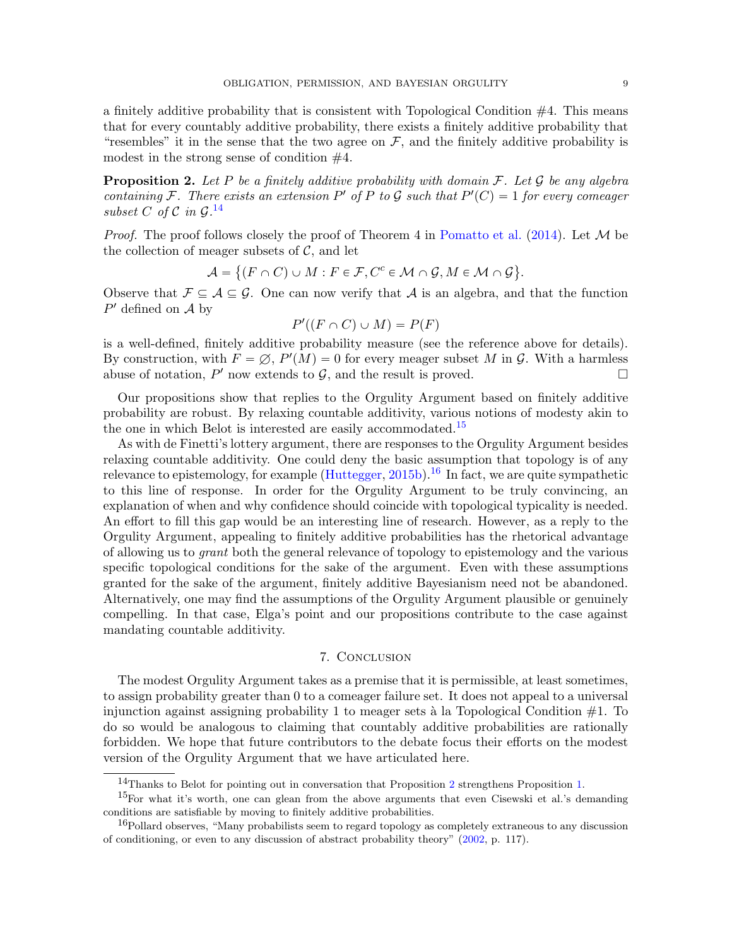a finitely additive probability that is consistent with Topological Condition  $#4$ . This means that for every countably additive probability, there exists a finitely additive probability that "resembles" it in the sense that the two agree on  $\mathcal F$ , and the finitely additive probability is modest in the strong sense of condition #4.

<span id="page-8-3"></span>**Proposition 2.** Let P be a finitely additive probability with domain  $\mathcal{F}$ . Let  $\mathcal{G}$  be any algebra containing F. There exists an extension P' of P to G such that  $P'(C) = 1$  for every comeager subset C of C in  $\mathcal{G}.^{14}$  $\mathcal{G}.^{14}$  $\mathcal{G}.^{14}$ 

*Proof.* The proof follows closely the proof of Theorem 4 in [Pomatto et al.](#page-10-14) [\(2014\)](#page-10-14). Let  $\mathcal M$  be the collection of meager subsets of  $C$ , and let

$$
\mathcal{A} = \{ (F \cap C) \cup M : F \in \mathcal{F}, C^c \in \mathcal{M} \cap \mathcal{G}, M \in \mathcal{M} \cap \mathcal{G} \}.
$$

Observe that  $\mathcal{F} \subseteq \mathcal{A} \subseteq \mathcal{G}$ . One can now verify that  $\mathcal{A}$  is an algebra, and that the function  $P'$  defined on  $\mathcal A$  by

$$
P'((F \cap C) \cup M) = P(F)
$$

is a well-defined, finitely additive probability measure (see the reference above for details). By construction, with  $F = \emptyset$ ,  $P'(M) = 0$  for every meager subset M in G. With a harmless abuse of notation,  $P'$  now extends to  $G$ , and the result is proved.

Our propositions show that replies to the Orgulity Argument based on finitely additive probability are robust. By relaxing countable additivity, various notions of modesty akin to the one in which Belot is interested are easily accommodated.<sup>[15](#page-8-1)</sup>

As with de Finetti's lottery argument, there are responses to the Orgulity Argument besides relaxing countable additivity. One could deny the basic assumption that topology is of any relevance to epistemology, for example [\(Huttegger,](#page-10-8) [2015b\)](#page-10-8).<sup>[16](#page-8-2)</sup> In fact, we are quite sympathetic to this line of response. In order for the Orgulity Argument to be truly convincing, an explanation of when and why confidence should coincide with topological typicality is needed. An effort to fill this gap would be an interesting line of research. However, as a reply to the Orgulity Argument, appealing to finitely additive probabilities has the rhetorical advantage of allowing us to grant both the general relevance of topology to epistemology and the various specific topological conditions for the sake of the argument. Even with these assumptions granted for the sake of the argument, finitely additive Bayesianism need not be abandoned. Alternatively, one may find the assumptions of the Orgulity Argument plausible or genuinely compelling. In that case, Elga's point and our propositions contribute to the case against mandating countable additivity.

# 7. Conclusion

The modest Orgulity Argument takes as a premise that it is permissible, at least sometimes, to assign probability greater than 0 to a comeager failure set. It does not appeal to a universal injunction against assigning probability 1 to meager sets à la Topological Condition  $#1$ . To do so would be analogous to claiming that countably additive probabilities are rationally forbidden. We hope that future contributors to the debate focus their efforts on the modest version of the Orgulity Argument that we have articulated here.

<span id="page-8-1"></span><span id="page-8-0"></span><sup>14</sup>Thanks to Belot for pointing out in conversation that Proposition [2](#page-8-3) strengthens Proposition [1.](#page-7-0)

<sup>15</sup>For what it's worth, one can glean from the above arguments that even Cisewski et al.'s demanding conditions are satisfiable by moving to finitely additive probabilities.

<span id="page-8-2"></span><sup>&</sup>lt;sup>16</sup>Pollard observes, "Many probabilists seem to regard topology as completely extraneous to any discussion of conditioning, or even to any discussion of abstract probability theory" [\(2002,](#page-10-15) p. 117).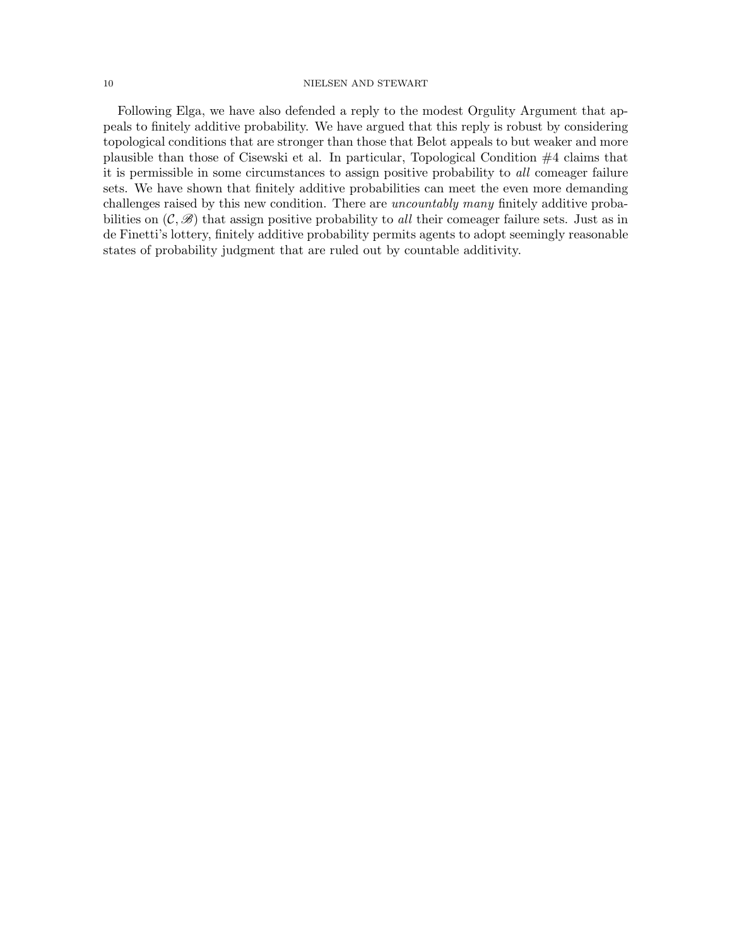### 10 NIELSEN AND STEWART

Following Elga, we have also defended a reply to the modest Orgulity Argument that appeals to finitely additive probability. We have argued that this reply is robust by considering topological conditions that are stronger than those that Belot appeals to but weaker and more plausible than those of Cisewski et al. In particular, Topological Condition #4 claims that it is permissible in some circumstances to assign positive probability to all comeager failure sets. We have shown that finitely additive probabilities can meet the even more demanding challenges raised by this new condition. There are uncountably many finitely additive probabilities on  $(C, \mathscr{B})$  that assign positive probability to all their comeager failure sets. Just as in de Finetti's lottery, finitely additive probability permits agents to adopt seemingly reasonable states of probability judgment that are ruled out by countable additivity.